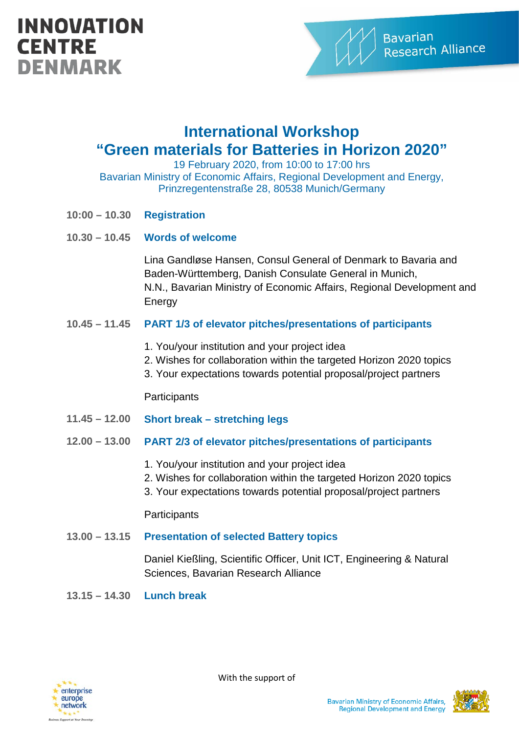# **INNOVATION CENTRE DENMARK**



## **International Workshop "Green materials for Batteries in Horizon 2020"**

19 February 2020, from 10:00 to 17:00 hrs

Bavarian Ministry of Economic Affairs, Regional Development and Energy, Prinzregentenstraße 28, 80538 Munich/Germany

- **10:00 – 10.30 Registration**
- **10.30 – 10.45 Words of welcome**

Lina Gandløse Hansen, Consul General of Denmark to Bavaria and Baden-Württemberg, Danish Consulate General in Munich, N.N., Bavarian Ministry of Economic Affairs, Regional Development and **Energy** 

#### **10.45 – 11.45 PART 1/3 of elevator pitches/presentations of participants**

- 1. You/your institution and your project idea
- 2. Wishes for collaboration within the targeted Horizon 2020 topics
- 3. Your expectations towards potential proposal/project partners

**Participants** 

- **11.45 – 12.00 Short break – stretching legs**
- **12.00 – 13.00 PART 2/3 of elevator pitches/presentations of participants** 
	- 1. You/your institution and your project idea
	- 2. Wishes for collaboration within the targeted Horizon 2020 topics
	- 3. Your expectations towards potential proposal/project partners

#### **Participants**

**13.00 – 13.15 Presentation of selected Battery topics** 

Daniel Kießling, Scientific Officer, Unit ICT, Engineering & Natural Sciences, Bavarian Research Alliance

**13.15 – 14.30 Lunch break** 



With the support of